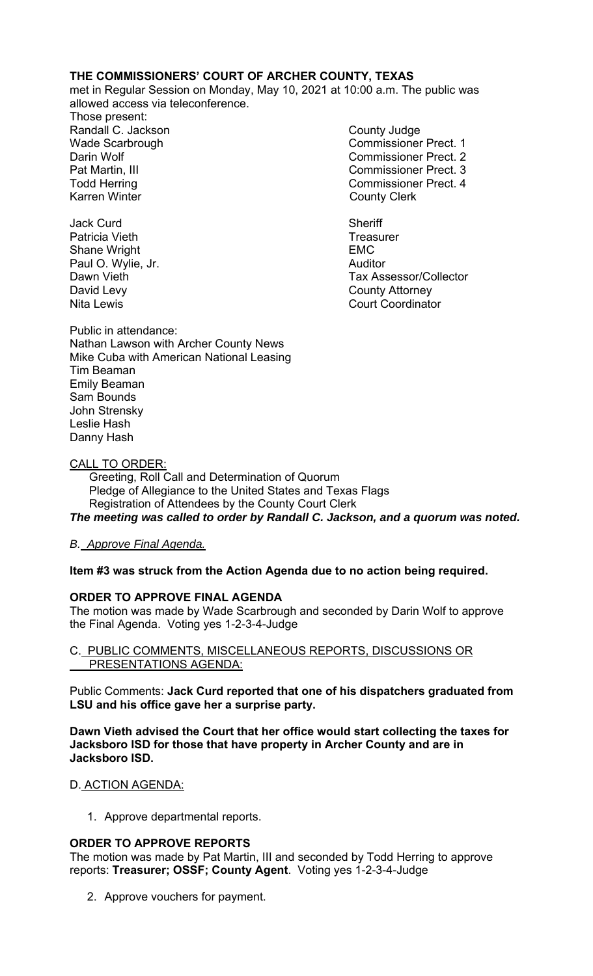# **THE COMMISSIONERS' COURT OF ARCHER COUNTY, TEXAS**

met in Regular Session on Monday, May 10, 2021 at 10:00 a.m. The public was allowed access via teleconference.

Those present: Randall C. Jackson **County Judge** County Judge Karren Winter **County Clerk** 

Jack Curd **Sheriff** Patricia Vieth **Treasurer** Treasurer Shane Wright **EMC** Paul O. Wylie, Jr. **Auditor Paul O. Wylie, Jr. Auditor** David Levy **County Attorney** 

Wade Scarbrough Commissioner Prect. 1 Darin Wolf Commissioner Prect. 2 Pat Martin, III Commissioner Prect. 3 Todd Herring Todd Herring Commissioner Prect. 4

Dawn Vieth Tax Assessor/Collector Nita Lewis Court Coordinator

Public in attendance: Nathan Lawson with Archer County News Mike Cuba with American National Leasing Tim Beaman Emily Beaman Sam Bounds John Strensky Leslie Hash Danny Hash

## CALL TO ORDER:

 Greeting, Roll Call and Determination of Quorum Pledge of Allegiance to the United States and Texas Flags Registration of Attendees by the County Court Clerk *The meeting was called to order by Randall C. Jackson, and a quorum was noted.* 

# *B. Approve Final Agenda.*

**Item #3 was struck from the Action Agenda due to no action being required.** 

# **ORDER TO APPROVE FINAL AGENDA**

The motion was made by Wade Scarbrough and seconded by Darin Wolf to approve the Final Agenda. Voting yes 1-2-3-4-Judge

## C. PUBLIC COMMENTS, MISCELLANEOUS REPORTS, DISCUSSIONS OR PRESENTATIONS AGENDA:

Public Comments: **Jack Curd reported that one of his dispatchers graduated from LSU and his office gave her a surprise party.**

**Dawn Vieth advised the Court that her office would start collecting the taxes for Jacksboro ISD for those that have property in Archer County and are in Jacksboro ISD.** 

#### D. ACTION AGENDA:

1. Approve departmental reports.

# **ORDER TO APPROVE REPORTS**

The motion was made by Pat Martin, III and seconded by Todd Herring to approve reports: **Treasurer; OSSF; County Agent**. Voting yes 1-2-3-4-Judge

2. Approve vouchers for payment.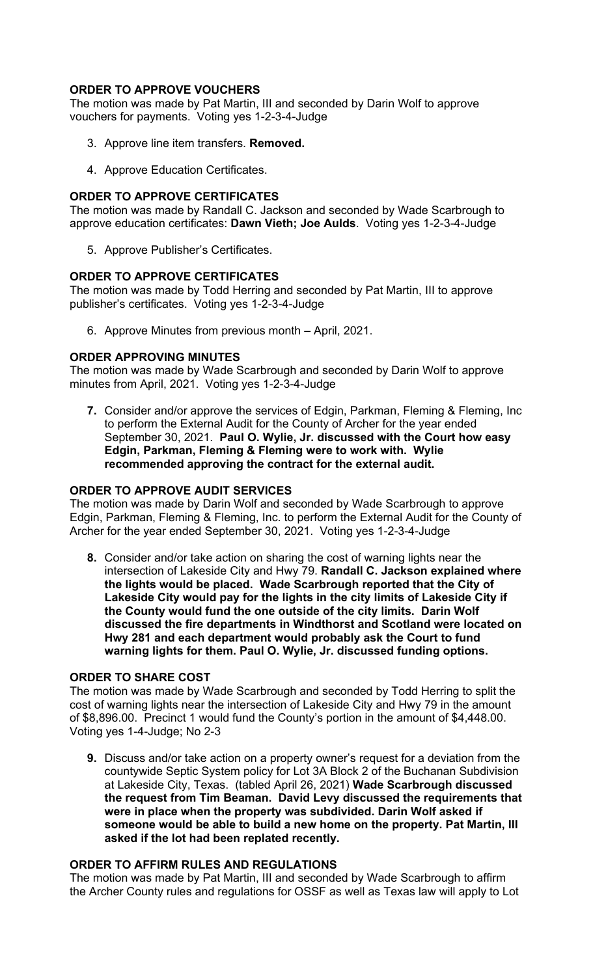# **ORDER TO APPROVE VOUCHERS**

The motion was made by Pat Martin, III and seconded by Darin Wolf to approve vouchers for payments. Voting yes 1-2-3-4-Judge

- 3. Approve line item transfers. **Removed.**
- 4. Approve Education Certificates.

## **ORDER TO APPROVE CERTIFICATES**

The motion was made by Randall C. Jackson and seconded by Wade Scarbrough to approve education certificates: **Dawn Vieth; Joe Aulds**. Voting yes 1-2-3-4-Judge

5. Approve Publisher's Certificates.

## **ORDER TO APPROVE CERTIFICATES**

The motion was made by Todd Herring and seconded by Pat Martin, III to approve publisher's certificates. Voting yes 1-2-3-4-Judge

6. Approve Minutes from previous month – April, 2021.

# **ORDER APPROVING MINUTES**

The motion was made by Wade Scarbrough and seconded by Darin Wolf to approve minutes from April, 2021. Voting yes 1-2-3-4-Judge

**7.** Consider and/or approve the services of Edgin, Parkman, Fleming & Fleming, Inc to perform the External Audit for the County of Archer for the year ended September 30, 2021. **Paul O. Wylie, Jr. discussed with the Court how easy Edgin, Parkman, Fleming & Fleming were to work with. Wylie recommended approving the contract for the external audit.** 

#### **ORDER TO APPROVE AUDIT SERVICES**

The motion was made by Darin Wolf and seconded by Wade Scarbrough to approve Edgin, Parkman, Fleming & Fleming, Inc. to perform the External Audit for the County of Archer for the year ended September 30, 2021. Voting yes 1-2-3-4-Judge

**8.** Consider and/or take action on sharing the cost of warning lights near the intersection of Lakeside City and Hwy 79. **Randall C. Jackson explained where the lights would be placed. Wade Scarbrough reported that the City of Lakeside City would pay for the lights in the city limits of Lakeside City if the County would fund the one outside of the city limits. Darin Wolf discussed the fire departments in Windthorst and Scotland were located on Hwy 281 and each department would probably ask the Court to fund warning lights for them. Paul O. Wylie, Jr. discussed funding options.** 

#### **ORDER TO SHARE COST**

The motion was made by Wade Scarbrough and seconded by Todd Herring to split the cost of warning lights near the intersection of Lakeside City and Hwy 79 in the amount of \$8,896.00. Precinct 1 would fund the County's portion in the amount of \$4,448.00. Voting yes 1-4-Judge; No 2-3

**9.** Discuss and/or take action on a property owner's request for a deviation from the countywide Septic System policy for Lot 3A Block 2 of the Buchanan Subdivision at Lakeside City, Texas.(tabled April 26, 2021) **Wade Scarbrough discussed the request from Tim Beaman. David Levy discussed the requirements that were in place when the property was subdivided. Darin Wolf asked if someone would be able to build a new home on the property. Pat Martin, III asked if the lot had been replated recently.** 

#### **ORDER TO AFFIRM RULES AND REGULATIONS**

The motion was made by Pat Martin, III and seconded by Wade Scarbrough to affirm the Archer County rules and regulations for OSSF as well as Texas law will apply to Lot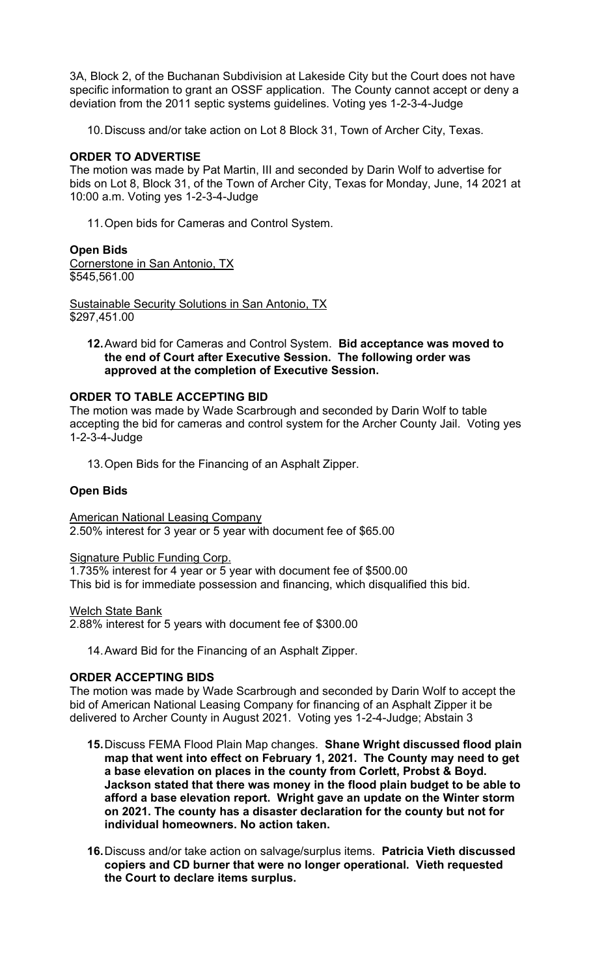3A, Block 2, of the Buchanan Subdivision at Lakeside City but the Court does not have specific information to grant an OSSF application. The County cannot accept or deny a deviation from the 2011 septic systems guidelines. Voting yes 1-2-3-4-Judge

10. Discuss and/or take action on Lot 8 Block 31, Town of Archer City, Texas.

## **ORDER TO ADVERTISE**

The motion was made by Pat Martin, III and seconded by Darin Wolf to advertise for bids on Lot 8, Block 31, of the Town of Archer City, Texas for Monday, June, 14 2021 at 10:00 a.m. Voting yes 1-2-3-4-Judge

11. Open bids for Cameras and Control System.

## **Open Bids**

Cornerstone in San Antonio, TX \$545,561.00

**Sustainable Security Solutions in San Antonio, TX**  $\overline{$}297,451.00$ 

**12.** Award bid for Cameras and Control System. **Bid acceptance was moved to the end of Court after Executive Session. The following order was approved at the completion of Executive Session.** 

## **ORDER TO TABLE ACCEPTING BID**

The motion was made by Wade Scarbrough and seconded by Darin Wolf to table accepting the bid for cameras and control system for the Archer County Jail. Voting yes 1-2-3-4-Judge

13. Open Bids for the Financing of an Asphalt Zipper.

## **Open Bids**

American National Leasing Company 2.50% interest for 3 year or 5 year with document fee of \$65.00

#### Signature Public Funding Corp.

1.735% interest for 4 year or 5 year with document fee of \$500.00 This bid is for immediate possession and financing, which disqualified this bid.

Welch State Bank 2.88% interest for 5 years with document fee of \$300.00

14. Award Bid for the Financing of an Asphalt Zipper.

# **ORDER ACCEPTING BIDS**

The motion was made by Wade Scarbrough and seconded by Darin Wolf to accept the bid of American National Leasing Company for financing of an Asphalt Zipper it be delivered to Archer County in August 2021. Voting yes 1-2-4-Judge; Abstain 3

- **15.** Discuss FEMA Flood Plain Map changes. **Shane Wright discussed flood plain map that went into effect on February 1, 2021. The County may need to get a base elevation on places in the county from Corlett, Probst & Boyd. Jackson stated that there was money in the flood plain budget to be able to afford a base elevation report. Wright gave an update on the Winter storm on 2021. The county has a disaster declaration for the county but not for individual homeowners. No action taken.**
- **16.** Discuss and/or take action on salvage/surplus items. **Patricia Vieth discussed copiers and CD burner that were no longer operational. Vieth requested the Court to declare items surplus.**